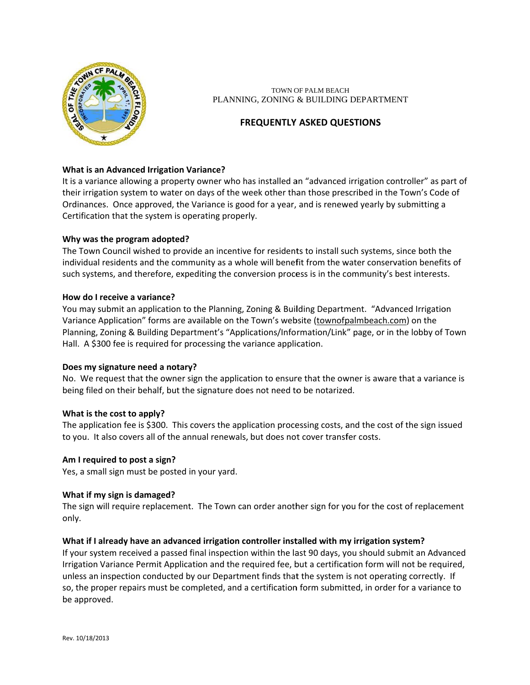

TOWN OF PALM BEACH PLANNING, ZONING & BUILDING DEPARTMENT

# **FREQUENTLY ASKED QUESTIONS**

# **What is an Advanced Irrigation Variance?**

It is a variance allowing a property owner who has installed an "advanced irrigation controller" as part of their irrigation system to water on days of the week other than those prescribed in the Town's Code of Ordinances. Once approved, the Variance is good for a year, and is renewed yearly by submitting a Certification that the system is operating properly.

### Why was the program adopted?

The Town Council wished to provide an incentive for residents to install such systems, since both the individual residents and the community as a whole will benefit from the water conservation benefits of such systems, and therefore, expediting the conversion process is in the community's best interests.

### How do I receive a variance?

You may submit an application to the Planning, Zoning & Building Department. "Advanced Irrigation Variance Application" forms are available on the Town's website (townofpalmbeach.com) on the Planning, Zoning & Building Department's "Applications/Information/Link" page, or in the lobby of Town Hall. A \$300 fee is required for processing the variance application.

#### Does my signature need a notary?

No. We request that the owner sign the application to ensure that the owner is aware that a variance is being filed on their behalf, but the signature does not need to be notarized.

#### What is the cost to apply?

The application fee is \$300. This covers the application processing costs, and the cost of the sign issued to you. It also covers all of the annual renewals, but does not cover transfer costs.

#### Am I required to post a sign?

Yes, a small sign must be posted in your yard.

#### What if my sign is damaged?

The sign will require replacement. The Town can order another sign for you for the cost of replacement only.

#### What if I already have an advanced irrigation controller installed with my irrigation system?

If your system received a passed final inspection within the last 90 days, you should submit an Advanced Irrigation Variance Permit Application and the required fee, but a certification form will not be required, unless an inspection conducted by our Department finds that the system is not operating correctly. If so, the proper repairs must be completed, and a certification form submitted, in order for a variance to be approved.